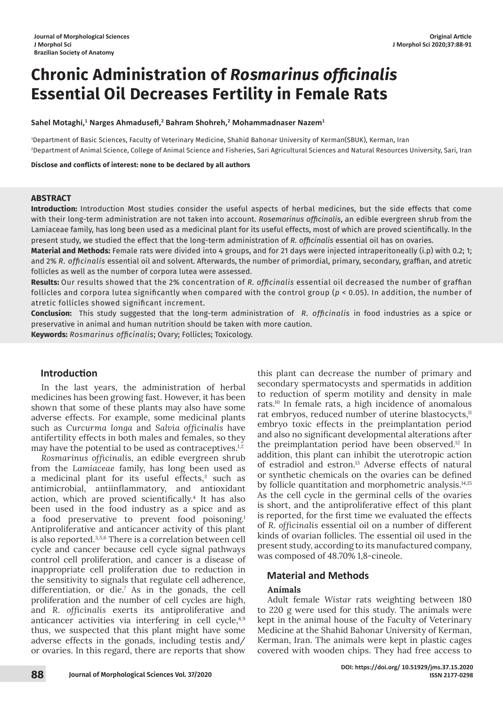# **Chronic Administration of** *Rosmarinus officinalis* **Essential Oil Decreases Fertility in Female Rats**

 $\boldsymbol{\mathsf{S}}$ ahel Motaghi, $^1$  Narges Ahmadusefi, $^2$  Bahram Shohreh, $^2$  Mohammadnaser Nazem $^1$ 

1 Department of Basic Sciences, Faculty of Veterinary Medicine, Shahid Bahonar University of Kerman(SBUK), Kerman, Iran 2 Department of Animal Science, College of Animal Science and Fisheries, Sari Agricultural Sciences and Natural Resources University, Sari, Iran

**Disclose and conflicts of interest: none to be declared by all authors**

#### **ABSTRACT**

**Introduction:** Introduction Most studies consider the useful aspects of herbal medicines, but the side effects that come with their long-term administration are not taken into account. *Rosemarinus officinalis*, an edible evergreen shrub from the Lamiaceae family, has long been used as a medicinal plant for its useful effects, most of which are proved scientifically. In the present study, we studied the effect that the long-term administration of *R. officinalis* essential oil has on ovaries.

**Material and Methods:** Female rats were divided into 4 groups, and for 21 days were injected intraperitoneally (i.p) with 0.2; 1; and 2% *R. officinalis* essential oil and solvent. Afterwards, the number of primordial, primary, secondary, graffian, and atretic follicles as well as the number of corpora lutea were assessed.

**Results:** Our results showed that the 2% concentration of *R. officinalis* essential oil decreased the number of graffian follicles and corpora lutea significantly when compared with the control group (*p* < 0.05). In addition, the number of atretic follicles showed significant increment.

**Conclusion:** This study suggested that the long-term administration of *R. officinalis* in food industries as a spice or preservative in animal and human nutrition should be taken with more caution.

**Keywords:** *Rosmarinus officinalis*; Ovary; Follicles; Toxicology.

# **Introduction**

In the last years, the administration of herbal medicines has been growing fast. However, it has been shown that some of these plants may also have some adverse effects. For example, some medicinal plants such as *Curcurma longa* and *Salvia officinalis* have antifertility effects in both males and females, so they may have the potential to be used as contraceptives.<sup>1,2</sup>

*Rosmarinus officinalis*, an edible evergreen shrub from the *Lamiaceae* family, has long been used as a medicinal plant for its useful effects,<sup>3</sup> such as antimicrobial, antiinflammatory, and antioxidant action, which are proved scientifically.<sup>4</sup> It has also been used in the food industry as a spice and as a food preservative to prevent food poisoning.1 Antiproliferative and anticancer activity of this plant is also reported.3,5,6 There is a correlation between cell cycle and cancer because cell cycle signal pathways control cell proliferation, and cancer is a disease of inappropriate cell proliferation due to reduction in the sensitivity to signals that regulate cell adherence, differentiation, or die.7 As in the gonads, the cell proliferation and the number of cell cycles are high, and *R. officinalis* exerts its antiproliferative and anticancer activities via interfering in cell cycle,<sup>8,9</sup> thus, we suspected that this plant might have some adverse effects in the gonads, including testis and/ or ovaries. In this regard, there are reports that show

this plant can decrease the number of primary and secondary spermatocysts and spermatids in addition to reduction of sperm motility and density in male rats.10 In female rats, a high incidence of anomalous rat embryos, reduced number of uterine blastocycts,<sup>11</sup> embryo toxic effects in the preimplantation period and also no significant developmental alterations after the preimplantation period have been observed.<sup>12</sup> In addition, this plant can inhibit the uterotropic action of estradiol and estron.<sup>13</sup> Adverse effects of natural or synthetic chemicals on the ovaries can be defined by follicle quantitation and morphometric analysis.14,15 As the cell cycle in the germinal cells of the ovaries is short, and the antiproliferative effect of this plant is reported, for the first time we evaluated the effects of *R. officinalis* essential oil on a number of different kinds of ovarian follicles. The essential oil used in the present study, according to its manufactured company, was composed of 48.70% 1,8-cineole.

## **Material and Methods**

## **Animals**

Adult female *Wistar* rats weighting between 180 to 220 g were used for this study. The animals were kept in the animal house of the Faculty of Veterinary Medicine at the Shahid Bahonar University of Kerman, Kerman, Iran. The animals were kept in plastic cages covered with wooden chips. They had free access to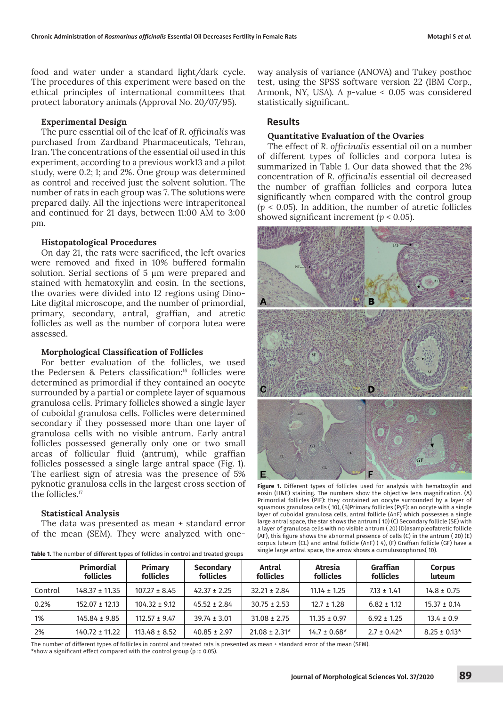food and water under a standard light/dark cycle. The procedures of this experiment were based on the ethical principles of international committees that protect laboratory animals (Approval No. 20/07/95).

#### **Experimental Design**

The pure essential oil of the leaf of *R. officinalis* was purchased from Zardband Pharmaceuticals, Tehran, Iran. The concentrations of the essential oil used in this experiment, according to a previous work13 and a pilot study, were 0.2; 1; and 2%. One group was determined as control and received just the solvent solution. The number of rats in each group was 7. The solutions were prepared daily. All the injections were intraperitoneal and continued for 21 days, between 11:00 AM to 3:00 pm.

#### **Histopatological Procedures**

On day 21, the rats were sacrificed, the left ovaries were removed and fixed in 10% buffered formalin solution. Serial sections of 5  $\mu$ m were prepared and stained with hematoxylin and eosin. In the sections, the ovaries were divided into 12 regions using Dino-Lite digital microscope, and the number of primordial, primary, secondary, antral, graffian, and atretic follicles as well as the number of corpora lutea were assessed.

#### **Morphological Classification of Follicles**

For better evaluation of the follicles, we used the Pedersen & Peters classification:16 follicles were determined as primordial if they contained an oocyte surrounded by a partial or complete layer of squamous granulosa cells. Primary follicles showed a single layer of cuboidal granulosa cells. Follicles were determined secondary if they possessed more than one layer of granulosa cells with no visible antrum. Early antral follicles possessed generally only one or two small areas of follicular fluid (antrum), while graffian follicles possessed a single large antral space (Fig. 1). The earliest sign of atresia was the presence of 5% pyknotic granulosa cells in the largest cross section of the follicles.<sup>17</sup>

## **Statistical Analysis**

The data was presented as mean ± standard error of the mean (SEM). They were analyzed with one-

|         | <b>Primordial</b><br>follicles | <b>Primary</b><br><b>follicles</b> | <b>Secondary</b><br><b>follicles</b> | Antral<br>follicles | <b>Atresia</b><br>follicles | Graffian<br>follicles | <b>Corpus</b><br>luteum |
|---------|--------------------------------|------------------------------------|--------------------------------------|---------------------|-----------------------------|-----------------------|-------------------------|
| Control | $148.37 \pm 11.35$             | $107.27 \pm 8.45$                  | $42.37 \pm 2.25$                     | $32.21 \pm 2.84$    | $11.14 \pm 1.25$            | $7.13 \pm 1.41$       | $14.8 \pm 0.75$         |
| 0.2%    | $152.07 \pm 12.13$             | $104.32 \pm 9.12$                  | $45.52 \pm 2.84$                     | $30.75 \pm 2.53$    | $12.7 \pm 1.28$             | $6.82 \pm 1.12$       | $15.37 \pm 0.14$        |
| 1%      | $145.84 \pm 9.85$              | $112.57 \pm 9.47$                  | $39.74 \pm 3.01$                     | $31.08 \pm 2.75$    | $11.35 \pm 0.97$            | $6.92 \pm 1.25$       | $13.4 \pm 0.9$          |
| 2%      | $140.72 \pm 11.22$             | $113.48 \pm 8.52$                  | $40.85 \pm 2.97$                     | $21.08 \pm 2.31*$   | $14.7 \pm 0.68*$            | $2.7 \pm 0.42^*$      | $8.25 \pm 0.13*$        |

**Table 1.** The number of different types of follicles in control and treated groups

way analysis of variance (ANOVA) and Tukey posthoc test, using the SPSS software version 22 (IBM Corp., Armonk, NY, USA). A *p*-value < *0.05* was considered statistically significant.

## **Results**

#### **Quantitative Evaluation of the Ovaries**

The effect of *R. officinalis* essential oil on a number of different types of follicles and corpora lutea is summarized in Table 1. Our data showed that the 2% concentration of *R. officinalis* essential oil decreased the number of graffian follicles and corpora lutea significantly when compared with the control group (*p* < *0.05*). In addition, the number of atretic follicles showed significant increment (*p* < *0.05*).



Figure 1. Different types of follicles used for analysis with hematoxylin and eosin (H&E) staining. The numbers show the objective lens magnification. (A) Primordial follicles (PIF): they contained an oocyte surrounded by a layer of squamous granulosa cells ( 10), (B)Primary follicles (PyF): an oocyte with a single layer of cuboidal granulosa cells, antral follicle (AnF) which possesses a single large antral space, the star shows the antrum ( 10) (C) Secondary follicle (SE) with a layer of granulosa cells with no visible antrum ( 20) (D)asampleofatretic follicle (AF), this figure shows the abnormal presence of cells (C) in the antrum ( 20) (E) corpus luteum (CL) and antral follicle (AnF) ( 4), (F) Graffian follicle (GF) have a single large antral space, the arrow shows a cumulusoophorus( 10).

The number of different types of follicles in control and treated rats is presented as mean ± standard error of the mean (SEM). \*show a significant effect compared with the control group (p ::: 0.05).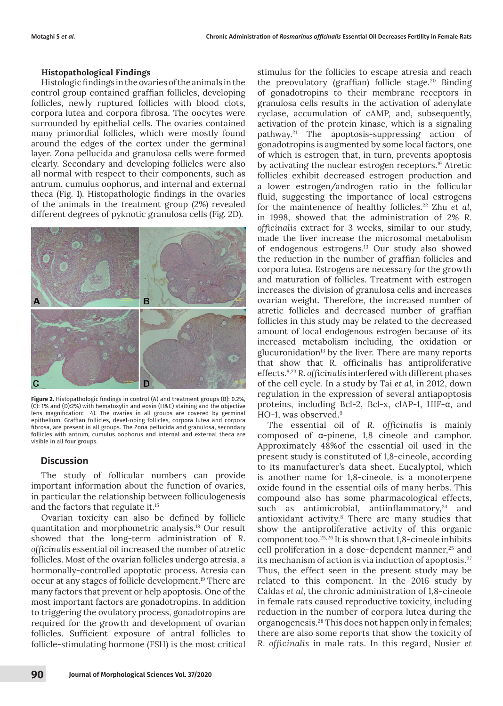## **Histopathological Findings**

Histologic findings in the ovaries of the animals in the control group contained graffian follicles, developing follicles, newly ruptured follicles with blood clots, corpora lutea and corpora fibrosa. The oocytes were surrounded by epithelial cells. The ovaries contained many primordial follicles, which were mostly found around the edges of the cortex under the germinal layer. Zona pellucida and granulosa cells were formed clearly. Secondary and developing follicles were also all normal with respect to their components, such as antrum, cumulus oophorus, and internal and external theca (Fig. 1). Histopathologic findings in the ovaries of the animals in the treatment group (2%) revealed different degrees of pyknotic granulosa cells (Fig. 2D).



**Figure 2.** Histopathologic findings in control (A) and treatment groups (B): 0.2%, (C): 1% and (D):2%) with hematoxylin and eosin (H&E) staining and the objective lens magnification: 4). The ovaries in all groups are covered by germinal epithelium. Graffian follicles, devel-oping follicles, corpora lutea and corpora fibrosa, are present in all groups. The Zona pellucida and granulosa, secondary follicles with antrum, cumulus oophorus and internal and external theca are visible in all four groups.

# **Discussion**

The study of follicular numbers can provide important information about the function of ovaries, in particular the relationship between folliculogenesis and the factors that regulate it.15

Ovarian toxicity can also be defined by follicle quantitation and morphometric analysis.18 Our result showed that the long-term administration of *R. officinalis* essential oil increased the number of atretic follicles. Most of the ovarian follicles undergo atresia, a hormonally-controlled apoptotic process. Atresia can occur at any stages of follicle development.19 There are many factors that prevent or help apoptosis. One of the most important factors are gonadotropins. In addition to triggering the ovulatory process, gonadotropins are required for the growth and development of ovarian follicles. Sufficient exposure of antral follicles to follicle-stimulating hormone (FSH) is the most critical

stimulus for the follicles to escape atresia and reach the preovulatory (graffian) follicle stage.<sup>20</sup> Binding of gonadotropins to their membrane receptors in granulosa cells results in the activation of adenylate cyclase, accumulation of cAMP, and, subsequently, activation of the protein kinase, which is a signaling pathway.21 The apoptosis-suppressing action of gonadotropins is augmented by some local factors, one of which is estrogen that, in turn, prevents apoptosis by activating the nuclear estrogen receptors.<sup>19</sup> Atretic follicles exhibit decreased estrogen production and a lower estrogen/androgen ratio in the follicular fluid, suggesting the importance of local estrogens for the maintenence of healthy follicles.22 Zhu *et al*, in 1998, showed that the administration of 2% *R. officinalis* extract for 3 weeks, similar to our study, made the liver increase the microsomal metabolism of endogenous estrogens.13 Our study also showed the reduction in the number of graffian follicles and corpora lutea. Estrogens are necessary for the growth and maturation of follicles. Treatment with estrogen increases the division of granulosa cells and increases ovarian weight. Therefore, the increased number of atretic follicles and decreased number of graffian follicles in this study may be related to the decreased amount of local endogenous estrogen because of its increased metabolism including, the oxidation or glucuronidation<sup>13</sup> by the liver. There are many reports that show that R. officinalis has antiproliferative effects.8,23 *R. officinalis* interfered with different phases of the cell cycle. In a study by Tai *et al*, in 2012, down regulation in the expression of several antiapoptosis proteins, including Bcl-2, Bcl-x, clAP-1, HIF-α, and HO-1, was observed.<sup>9</sup>

The essential oil of *R. officinalis* is mainly composed of α-pinene, 1,8 cineole and camphor. Approximately 48%of the essential oil used in the present study is constituted of 1,8-cineole, according to its manufacturer's data sheet. Eucalyptol, which is another name for 1,8-cineole, is a monoterpene oxide found in the essential oils of many herbs. This compound also has some pharmacological effects, such as antimicrobial, antiinflammatory, $24$  and antioxidant activity.8 There are many studies that show the antiproliferative activity of this organic component too.25,26 It is shown that 1,8-cineole inhibits cell proliferation in a dose-dependent manner, $25$  and its mechanism of action is via induction of apoptosis.<sup>27</sup> Thus, the effect seen in the present study may be related to this component. In the 2016 study by Caldas *et al*, the chronic administration of 1,8-cineole in female rats caused reproductive toxicity, including reduction in the number of corpora lutea during the organogenesis.28 This does not happen only in females; there are also some reports that show the toxicity of *R. officinalis* in male rats. In this regard, Nusier *et*